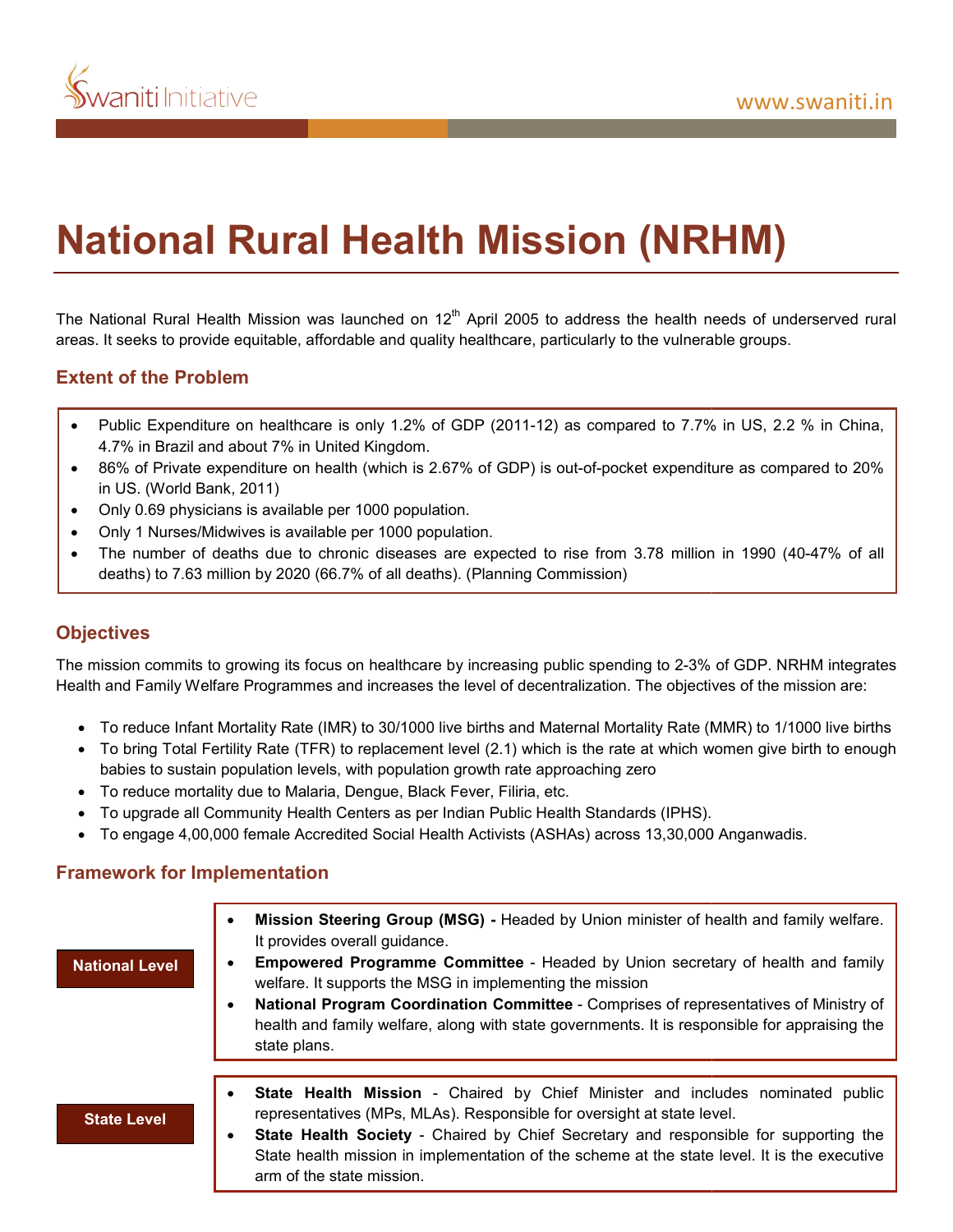

# **National Rural Health Mission (NRHM)**

The National Rural Health Mission was launched on 12<sup>th</sup> April 2005 to address the health needs of underserved rural areas. It seeks to provide equitable, affordable and quality healthcare, particularly to the vulnerable groups.

# **Extent of the Problem**

- Public Expenditure on healthcare is only 1.2% of GDP (2011-12) as compared to 7.7% in US, 2.2 % in China, 4.7% in Brazil and about 7% in United Kingdom.
- 86% of Private expenditure on health (which is 2.67% of GDP) is out-of-pocket expenditure as compared to 20% in US. (World Bank, 2011) The 186% of Private expenditure on health (which is 2.67% of GDP) is out-of-pocket expenditure as compared to 20%<br>
in US. (World Bank, 2011)<br>
Only 0.69 physicians is available per 1000 population.<br>
• Only 1 Nurses/Midwives
- Only 0.69 physicians is available per 1000 population.
- Only 1 Nurses/Midwives is available per 1000 population.
- deaths) to 7.63 million by 2020 (66.7% of all deaths). (Planning Commission) on 12<sup>th</sup> April 2005 to address the health needs of underserved rural<br>quality healthcare, particularly to the vulnerable groups.<br><sup>9%</sup> GODP (2011-12) as compared to 7.7% in US, 2.2 % in China,<br>is 2.67% of GDP) is out-of-poc

## **Objectives**

The mission commits to growing its focus on healthcare by increasing public spending to 2-3% of GDP. Health and Family Welfare Programmes and increases the level of decentralization. The objectives of the mission are:

- To reduce Infant Mortality Rate (IMR) to 30/1000 live births and Maternal Mortality Rate (MMR) to 1/1000 live births
- To bring Total Fertility Rate (TFR) to replacement level (2.1) which is the rate at which women give birth to enough babies to sustain population levels, with population growth rate approaching zero To bring Total Fertility Rate (TFR) to replacement level (2.1) which is the rate at which women give bir<br>
babies to sustain population levels, with population growth rate approaching zero<br>
To reduce mortality due to Malari
- babies to sustain population levels, with population growth rate approvable to Malaria, Dengue, Black Fever, Filiria, etc.
- To upgrade all Community Health Centers as per Indian Public Health Standards (IPHS).
- 

#### **Framework for Implementation**

| <b>National Level</b> | Mission Steering Group (MSG) - Headed by Union minister of health and family welfare.<br>٠<br>It provides overall guidance.<br><b>Empowered Programme Committee - Headed by Union secretary of health and family</b><br>welfare. It supports the MSG in implementing the mission<br>National Program Coordination Committee - Comprises of representatives of Ministry of<br>٠<br>health and family welfare, along with state governments. It is responsible for appraising the<br>state plans. |
|-----------------------|-------------------------------------------------------------------------------------------------------------------------------------------------------------------------------------------------------------------------------------------------------------------------------------------------------------------------------------------------------------------------------------------------------------------------------------------------------------------------------------------------|
| <b>State Level</b>    | State Health Mission - Chaired by Chief Minister and includes nominated public<br>٠<br>representatives (MPs, MLAs). Responsible for oversight at state level.<br><b>State Health Society</b> - Chaired by Chief Secretary and responsible for supporting the<br>٠<br>State health mission in implementation of the scheme at the state level. It is the executive<br>arm of the state mission.                                                                                                  |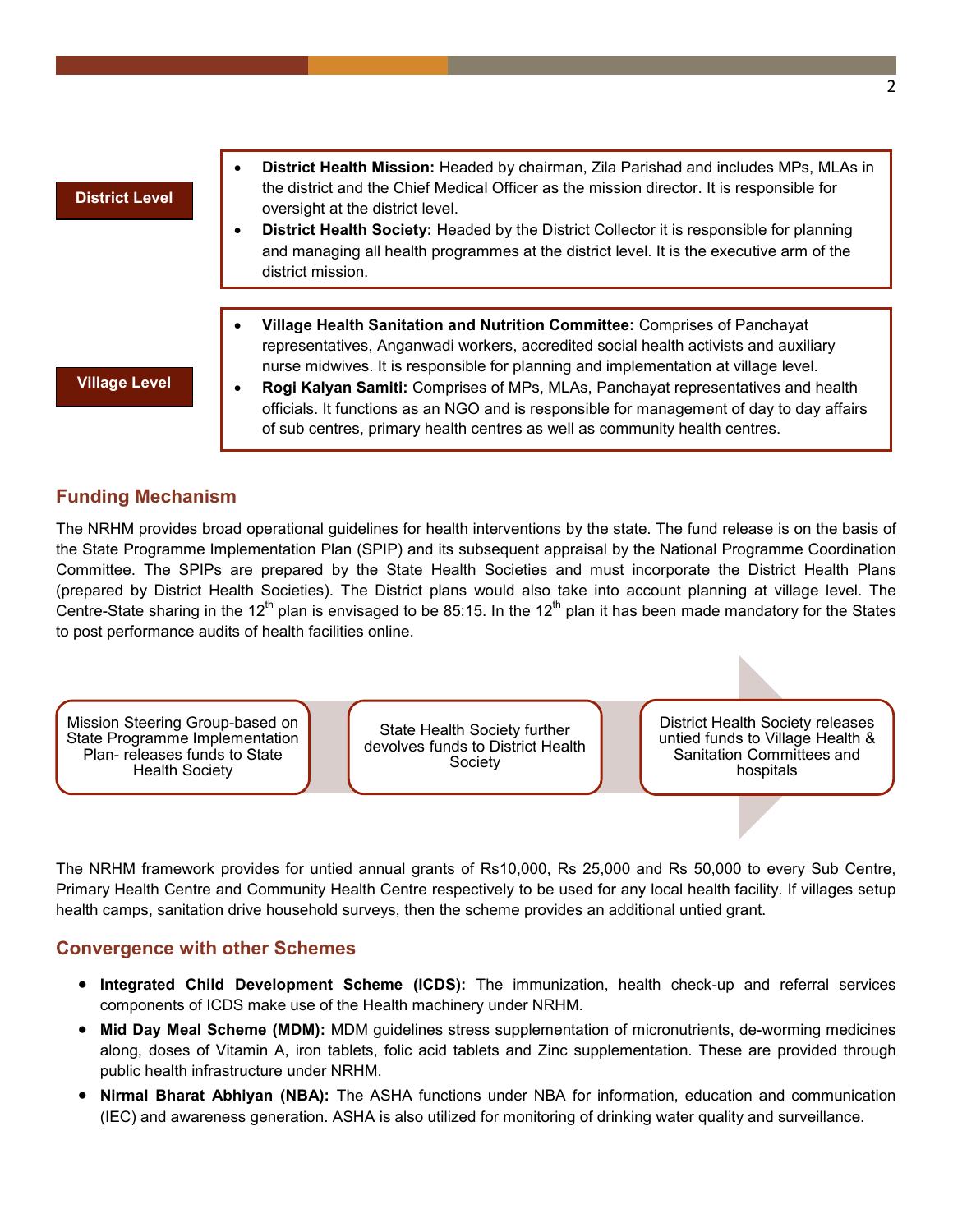#### **District Level**

- **District Health Mission:** Headed by chairman, Zila Parishad and includes MPs, MLAs in the district and the Chief Medical Officer as the mission director. It is responsible for oversight at the district level.
- **District Health Society:** Headed by the District Collector it is responsible for planning and managing all health programmes at the district level. It is the executive arm of the district mission.
- **Village Health Sanitation and Nutrition Committee:** Comprises of Panchayat representatives, Anganwadi workers, accredited social health activists and auxiliary nurse midwives. It is responsible for planning and implementation at village level.

**Village Level**

 **Rogi Kalyan Samiti:** Comprises of MPs, MLAs, Panchayat representatives and health officials. It functions as an NGO and is responsible for management of day to day affairs of sub centres, primary health centres as well as community health centres.

## **Funding Mechanism**

The NRHM provides broad operational guidelines for health interventions by the state. The fund release is on the basis of the State Programme Implementation Plan (SPIP) and its subsequent appraisal by the National Programme Coordination Committee. The SPIPs are prepared by the State Health Societies and must incorporate the District Health Plans (prepared by District Health Societies). The District plans would also take into account planning at village level. The Centre-State sharing in the 12<sup>th</sup> plan is envisaged to be 85:15. In the 12<sup>th</sup> plan it has been made mandatory for the States to post performance audits of health facilities online.

Mission Steering Group-based on State Programme Implementation Plan- releases funds to State Health Society

State Health Society further devolves funds to District Health Society

District Health Society releases untied funds to Village Health & Sanitation Committees and hospitals

The NRHM framework provides for untied annual grants of Rs10,000, Rs 25,000 and Rs 50,000 to every Sub Centre, Primary Health Centre and Community Health Centre respectively to be used for any local health facility. If villages setup health camps, sanitation drive household surveys, then the scheme provides an additional untied grant.

#### **Convergence with other Schemes**

- **Integrated Child Development Scheme (ICDS):** The immunization, health check-up and referral services components of ICDS make use of the Health machinery under NRHM.
- **Mid Day Meal Scheme (MDM):** MDM guidelines stress supplementation of micronutrients, de-worming medicines along, doses of Vitamin A, iron tablets, folic acid tablets and Zinc supplementation. These are provided through public health infrastructure under NRHM.
- **Nirmal Bharat Abhiyan (NBA):** The ASHA functions under NBA for information, education and communication (IEC) and awareness generation. ASHA is also utilized for monitoring of drinking water quality and surveillance.